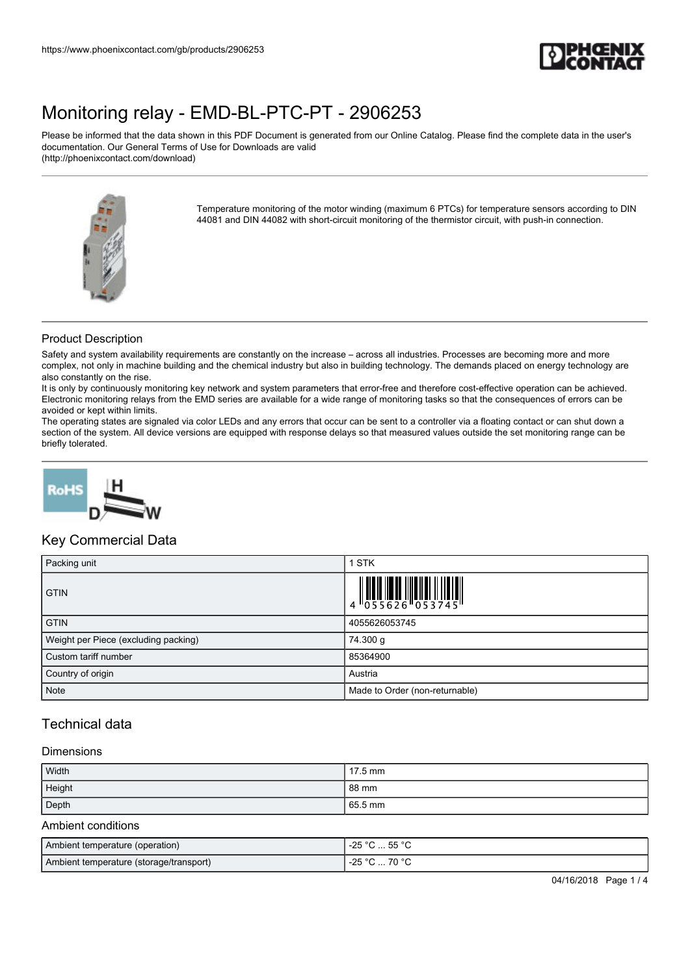

Please be informed that the data shown in this PDF Document is generated from our Online Catalog. Please find the complete data in the user's documentation. Our General Terms of Use for Downloads are valid (http://phoenixcontact.com/download)



Temperature monitoring of the motor winding (maximum 6 PTCs) for temperature sensors according to DIN 44081 and DIN 44082 with short-circuit monitoring of the thermistor circuit, with push-in connection.

### Product Description

Safety and system availability requirements are constantly on the increase – across all industries. Processes are becoming more and more complex, not only in machine building and the chemical industry but also in building technology. The demands placed on energy technology are also constantly on the rise.

It is only by continuously monitoring key network and system parameters that error-free and therefore cost-effective operation can be achieved. Electronic monitoring relays from the EMD series are available for a wide range of monitoring tasks so that the consequences of errors can be avoided or kept within limits.

The operating states are signaled via color LEDs and any errors that occur can be sent to a controller via a floating contact or can shut down a section of the system. All device versions are equipped with response delays so that measured values outside the set monitoring range can be briefly tolerated.



### Key Commercial Data

| Packing unit                         | <b>STK</b>                                                                                                  |
|--------------------------------------|-------------------------------------------------------------------------------------------------------------|
| <b>GTIN</b>                          | $\begin{array}{c} 1 & 0 & 0 & 0 \\ 0 & 0 & 0 & 0 & 0 \\ 0 & 0 & 0 & 0 & 0 \\ 0 & 0 & 0 & 0 & 0 \end{array}$ |
| <b>GTIN</b>                          | 4055626053745                                                                                               |
| Weight per Piece (excluding packing) | 74.300 g                                                                                                    |
| Custom tariff number                 | 85364900                                                                                                    |
| Country of origin                    | Austria                                                                                                     |
| Note                                 | Made to Order (non-returnable)                                                                              |

## Technical data

#### Dimensions

| Width  | $17.5$ mm       |
|--------|-----------------|
| Height | $88 \text{ mm}$ |
| Depth  | 65.5 mm         |

#### Ambient conditions

| Ambient temperature (operation)         | . 55 °C<br>-25 °C   |
|-----------------------------------------|---------------------|
| Ambient temperature (storage/transport) | -25 °C<br>°C  70 °C |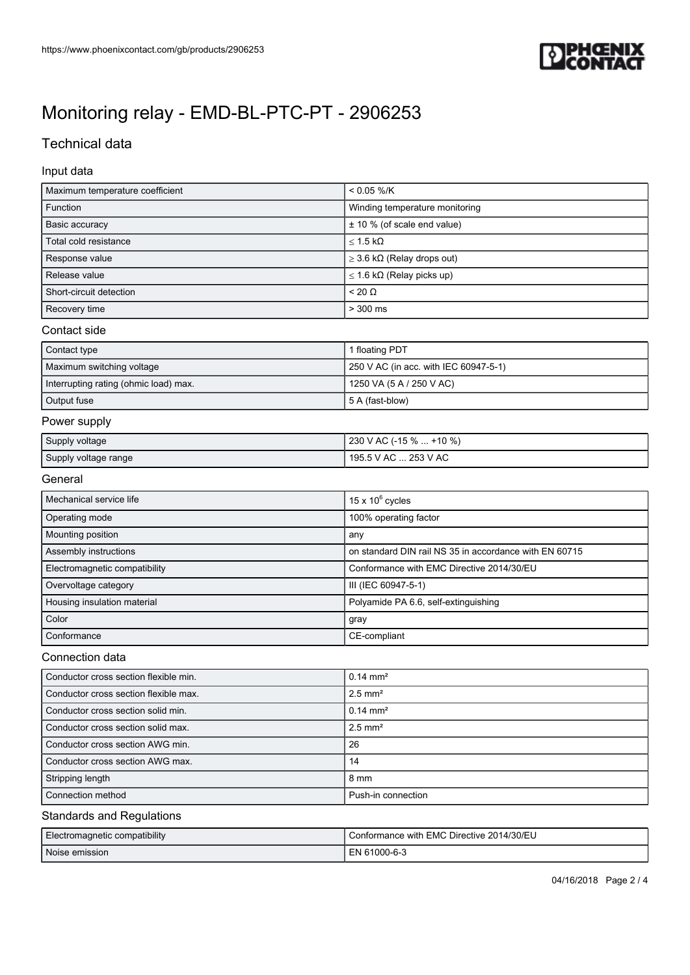

# Technical data

### Input data

| Maximum temperature coefficient       | $< 0.05 %$ /K                                          |
|---------------------------------------|--------------------------------------------------------|
| Function                              | Winding temperature monitoring                         |
| Basic accuracy                        | ± 10 % (of scale end value)                            |
| Total cold resistance                 | $<$ 1.5 k $\Omega$                                     |
| Response value                        | $\geq$ 3.6 k $\Omega$ (Relay drops out)                |
| Release value                         | $\leq$ 1.6 k $\Omega$ (Relay picks up)                 |
| Short-circuit detection               | $< 20 \Omega$                                          |
| Recovery time                         | $> 300$ ms                                             |
| Contact side                          |                                                        |
| Contact type                          | 1 floating PDT                                         |
| Maximum switching voltage             | 250 V AC (in acc. with IEC 60947-5-1)                  |
| Interrupting rating (ohmic load) max. | 1250 VA (5 A / 250 V AC)                               |
| Output fuse                           | 5 A (fast-blow)                                        |
| Power supply                          |                                                        |
| Supply voltage                        | 230 V AC (-15 %  +10 %)                                |
| Supply voltage range                  | 195.5 V AC  253 V AC                                   |
| General                               |                                                        |
| Mechanical service life               | 15 x $10^6$ cycles                                     |
| Operating mode                        | 100% operating factor                                  |
| Mounting position                     | any                                                    |
| Assembly instructions                 | on standard DIN rail NS 35 in accordance with EN 60715 |
| Electromagnetic compatibility         | Conformance with EMC Directive 2014/30/EU              |
| Overvoltage category                  | III (IEC 60947-5-1)                                    |
| Housing insulation material           | Polyamide PA 6.6, self-extinguishing                   |
| Color                                 | gray                                                   |
| Conformance                           | CE-compliant                                           |
| Connection data                       |                                                        |

| Conductor cross section flexible min. | $0.14 \text{ mm}^2$   |
|---------------------------------------|-----------------------|
| Conductor cross section flexible max. | $2.5$ mm <sup>2</sup> |
| Conductor cross section solid min.    | $0.14 \text{ mm}^2$   |
| Conductor cross section solid max.    | $2.5$ mm <sup>2</sup> |
| Conductor cross section AWG min.      | 26                    |
| Conductor cross section AWG max.      | 14                    |
| Stripping length                      | $8 \text{ mm}$        |
| Connection method                     | Push-in connection    |

#### Standards and Regulations

| Electromagnetic compatibility | Conformance with EMC Directive 2014/30/EU |
|-------------------------------|-------------------------------------------|
| Noise emission                | EN 61000-6-3                              |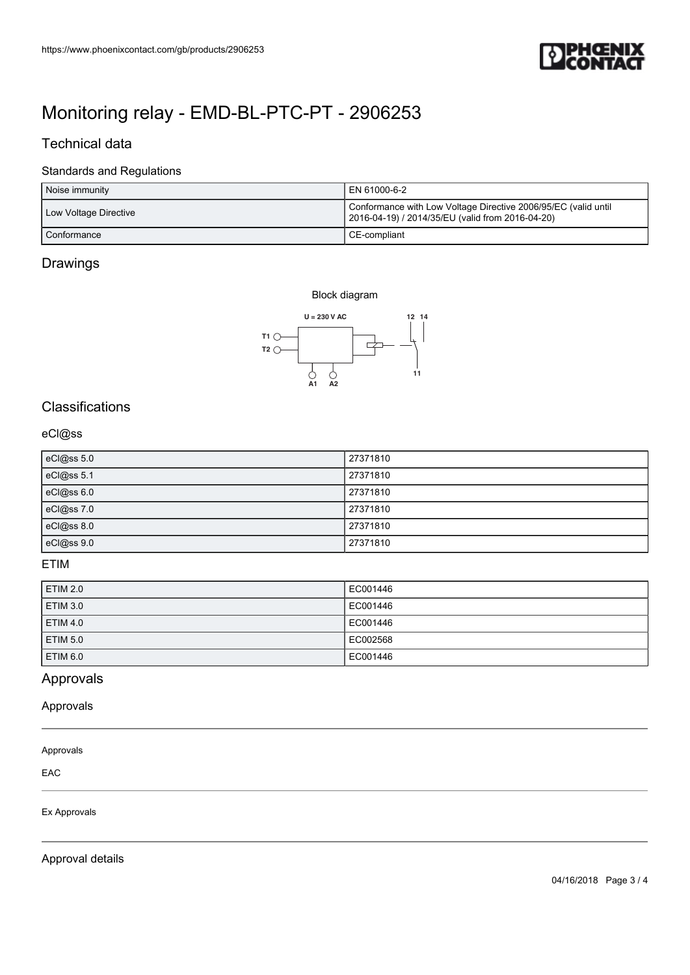

## Technical data

### Standards and Regulations

| https://www.phoenixcontact.com/gb/products/2906253 |                                                                                                                                    |
|----------------------------------------------------|------------------------------------------------------------------------------------------------------------------------------------|
|                                                    |                                                                                                                                    |
| Monitoring relay - EMD-BL-PTC-PT - 2906253         |                                                                                                                                    |
| Technical data                                     |                                                                                                                                    |
| <b>Standards and Regulations</b>                   |                                                                                                                                    |
| Noise immunity<br>Low Voltage Directive            | EN 61000-6-2<br>Conformance with Low Voltage Directive 2006/95/EC (valid until<br>2016-04-19) / 2014/35/EU (valid from 2016-04-20) |
| Conformance                                        | CE-compliant                                                                                                                       |
| Drawings                                           |                                                                                                                                    |
| Block diagram                                      |                                                                                                                                    |
| $\textsf{U}$ = 230 V AC<br>$T1$ $\bigcirc$<br>T2   | 12 14<br>$\overline{\phantom{a}}$                                                                                                  |

### Drawings

Block diagram



# Classifications

### eCl@ss

| eCl@ss 5.0 | 27371810 |
|------------|----------|
| eCl@ss 5.1 | 27371810 |
| eCl@ss 6.0 | 27371810 |
| eCl@ss 7.0 | 27371810 |
| eCl@ss 8.0 | 27371810 |
| eCl@ss 9.0 | 27371810 |

## ETIM

| <b>ETIM 2.0</b> | EC001446 |
|-----------------|----------|
| <b>ETIM 3.0</b> | EC001446 |
| <b>ETIM 4.0</b> | EC001446 |
| <b>ETIM 5.0</b> | EC002568 |
| <b>ETIM 6.0</b> | EC001446 |

# Approvals

Approvals

#### Approvals

EAC

Ex Approvals

Approval details